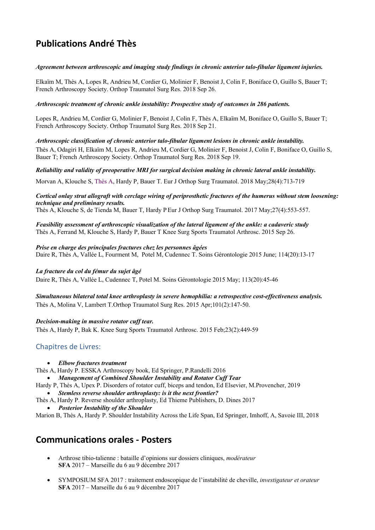# **Publications André Thès**

## *Agreement between arthroscopic and imaging study findings in chronic anterior talo-fibular ligament injuries.*

Elkaïm M, Thès A, Lopes R, Andrieu M, Cordier G, Molinier F, Benoist J, Colin F, Boniface O, Guillo S, Bauer T; French Arthroscopy Society. Orthop Traumatol Surg Res. 2018 Sep 26.

## *Arthroscopic treatment of chronic ankle instability: Prospective study of outcomes in 286 patients.*

Lopes R, Andrieu M, Cordier G, Molinier F, Benoist J, Colin F, Thès A, Elkaïm M, Boniface O, Guillo S, Bauer T; French Arthroscopy Society. Orthop Traumatol Surg Res. 2018 Sep 21.

*Arthroscopic classification of chronic anterior talo-fibular ligament lesions in chronic ankle instability.*

Thès A, Odagiri H, Elkaïm M, Lopes R, Andrieu M, Cordier G, Molinier F, Benoist J, Colin F, Boniface O, Guillo S, Bauer T; French Arthroscopy Society. Orthop Traumatol Surg Res. 2018 Sep 19.

## *Reliability and validity of preoperative MRI for surgical decision making in chronic lateral ankle instability.*

Morvan A, Klouche S, Thès A, Hardy P, Bauer T. Eur J Orthop Surg Traumatol. 2018 May;28(4):713-719

## *Cortical onlay strut allograft with cerclage wiring of periprosthetic fractures of the humerus without stem loosening: technique and preliminary results.*

Thès A, Klouche S, de Tienda M, Bauer T, Hardy P Eur J Orthop Surg Traumatol. 2017 May;27(4):553-557.

*Feasibility assessment of arthroscopic visualization of the lateral ligament of the ankle: a cadaveric study*  Thès A, Ferrand M, Klouche S, Hardy P, Bauer T Knee Surg Sports Traumatol Arthrosc. 2015 Sep 26.

#### *Prise en charge des principales fractures chez les personnes âgées* Daire R, Thès A, Vallée L, Fourment M, Potel M, Cudennec T. Soins Gérontologie 2015 June; 114(20):13-17

## *La fracture du col du fémur du sujet âgé*

Daire R, Thès A, Vallée L, Cudennec T, Potel M. Soins Gérontologie 2015 May; 113(20):45-46

*Simultaneous bilateral total knee arthroplasty in severe hemophilia: a retrospective cost-effectiveness analysis.* Thès A, Molina V, Lambert T.Orthop Traumatol Surg Res. 2015 Apr;101(2):147-50.

## *Decision-making in massive rotator cuff tear.*

Thès A, Hardy P, Bak K. Knee Surg Sports Traumatol Arthrosc. 2015 Feb;23(2):449-59

## Chapitres de Livres:

• *Elbow fractures treatment*

Thès A, Hardy P. ESSKA Arthroscopy book, Ed Springer, P.Randelli 2016

- *Management of Combined Shoulder Instability and Rotator Cuff Tear*
- Hardy P, Thès A, Upex P. Disorders of rotator cuff, biceps and tendon, Ed Elsevier, M.Provencher, 2019

• *Stemless reverse shoulder arthroplasty: is it the next frontier?*

Thès A, Hardy P. Reverse shoulder arthroplasty, Ed Thieme Publishers, D. Dines 2017 • *Posterior Instability of the Shoulder*

Marion B, Thès A, Hardy P. Shoulder Instability Across the Life Span, Ed Springer, Imhoff, A, Savoie III, 2018

## **Communications orales - Posters**

- Arthrose tibio-talienne : bataille d'opinions sur dossiers cliniques, *modérateur* **SFA** 2017 – Marseille du 6 au 9 décembre 2017
- SYMPOSIUM SFA 2017 : traitement endoscopique de l'instabilité de cheville, *investigateur et orateur* **SFA** 2017 – Marseille du 6 au 9 décembre 2017